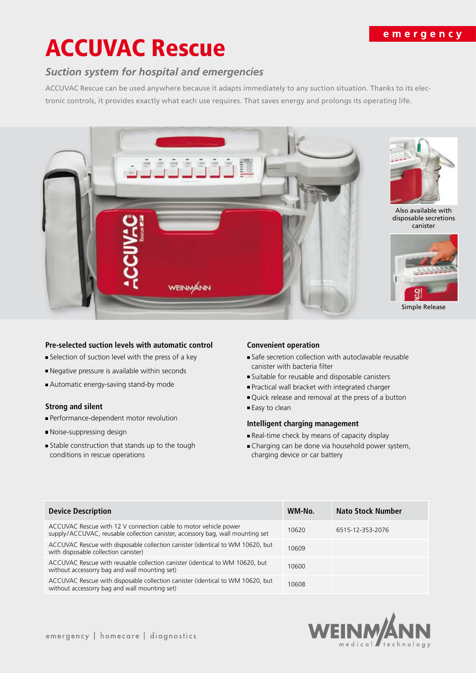## emergency

# ACCUVAC Rescue

# *Suction system for hospital and emergencies*

ACCUVAC Rescue can be used anywhere because it adapts immediately to any suction situation. Thanks to its electronic controls, it provides exactly what each use requires. That saves energy and prolongs its operating life.



#### **Pre-selected suction levels with automatic control**

- Selection of suction level with the press of a key
- Negative pressure is available within seconds
- Automatic energy-saving stand-by mode

### **Strong and silent**

- **Performance-dependent motor revolution**
- Noise-suppressing design
- Stable construction that stands up to the tough conditions in rescue operations

#### **Convenient operation**

- Safe secretion collection with autoclavable reusable canister with bacteria filter
- Suitable for reusable and disposable canisters
- Practical wall bracket with integrated charger
- Quick release and removal at the press of a button
- Easy to clean

#### **Intelligent charging management**

- Real-time check by means of capacity display
- Charging can be done via household power system, charging device or car battery

| <b>Device Description</b>                                                                                                                          | WM-No. | <b>Nato Stock Number</b> |
|----------------------------------------------------------------------------------------------------------------------------------------------------|--------|--------------------------|
| ACCUVAC Rescue with 12 V connection cable to motor vehicle power<br>supply/ACCUVAC, reusable collection canister, accessory bag, wall mounting set | 10620  | 6515-12-353-2076         |
| ACCUVAC Rescue with disposable collection canister (identical to WM 10620, but<br>with disposable collection canister)                             | 10609  |                          |
| ACCUVAC Rescue with reusable collection canister (identical to WM 10620, but<br>without accessorry bag and wall mounting set)                      | 10600  |                          |
| ACCUVAC Rescue with disposable collection canister (identical to WM 10620, but<br>without accessorry bag and wall mounting set)                    | 10608  |                          |